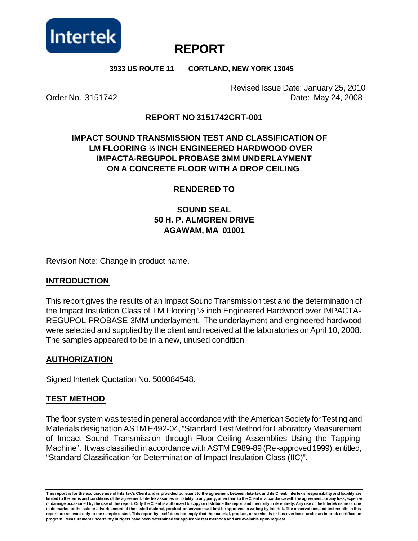

# **REPORT**

#### **3933 US ROUTE 11 CORTLAND, NEW YORK 13045**

Revised Issue Date: January 25, 2010 Order No. 3151742 Date: May 24, 2008

#### **REPORT NO 3151742CRT-001**

## **IMPACT SOUND TRANSMISSION TEST AND CLASSIFICATION OF LM FLOORING ½ INCH ENGINEERED HARDWOOD OVER IMPACTA-REGUPOL PROBASE 3MM UNDERLAYMENT ON A CONCRETE FLOOR WITH A DROP CEILING**

#### **RENDERED TO**

## **SOUND SEAL 50 H. P. ALMGREN DRIVE AGAWAM, MA 01001**

Revision Note: Change in product name.

#### **INTRODUCTION**

This report gives the results of an Impact Sound Transmission test and the determination of the Impact Insulation Class of LM Flooring ½ inch Engineered Hardwood over IMPACTA-REGUPOL PROBASE 3MM underlayment. The underlayment and engineered hardwood were selected and supplied by the client and received at the laboratories on April 10, 2008. The samples appeared to be in a new, unused condition

#### **AUTHORIZATION**

Signed Intertek Quotation No. 500084548.

#### **TEST METHOD**

The floor system was tested in general accordance with the American Society for Testing and Materials designation ASTM E492-04, "Standard Test Method for Laboratory Measurement of Impact Sound Transmission through Floor-Ceiling Assemblies Using the Tapping Machine". It was classified in accordance with ASTM E989-89 (Re-approved 1999), entitled, "Standard Classification for Determination of Impact Insulation Class (IIC)".

**This report is for the exclusive use of Intertek's Client and is provided pursuant to the agreement between Intertek and its Client. Intertek's responsibility and liability are**  limited to the terms and conditions of the agreement. Intertek assumes no liability to any party, other than to the Client in accordance with the agreement, for any loss, expen se **or damage occasioned by the use of this report. Only the Client is authorized to copy or distribute this report and then only in its entirety. Any use of the Intertek name or one of its marks for the sale or advertisement of the tested material, product or service must first be approved in writing by Intertek. The observations and test results in this report are relevant only to the sample tested. This report by itself does not imply that the material, product, or service is or has ever been under an Intertek certification program. Measurement uncertainty budgets have been determined for applicable test methods and are available upon request.**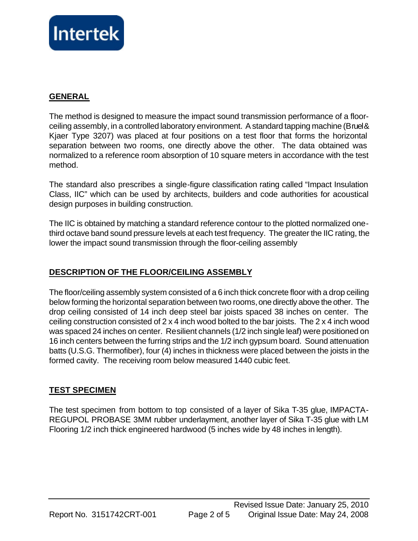

#### **GENERAL**

The method is designed to measure the impact sound transmission performance of a floorceiling assembly, in a controlled laboratory environment. A standard tapping machine (Bruel & Kjaer Type 3207) was placed at four positions on a test floor that forms the horizontal separation between two rooms, one directly above the other. The data obtained was normalized to a reference room absorption of 10 square meters in accordance with the test method.

The standard also prescribes a single-figure classification rating called "Impact Insulation Class, IIC" which can be used by architects, builders and code authorities for acoustical design purposes in building construction.

The IIC is obtained by matching a standard reference contour to the plotted normalized onethird octave band sound pressure levels at each test frequency. The greater the IIC rating, the lower the impact sound transmission through the floor-ceiling assembly

## **DESCRIPTION OF THE FLOOR/CEILING ASSEMBLY**

The floor/ceiling assembly system consisted of a 6 inch thick concrete floor with a drop ceiling below forming the horizontal separation between two rooms, one directly above the other. The drop ceiling consisted of 14 inch deep steel bar joists spaced 38 inches on center. The ceiling construction consisted of 2 x 4 inch wood bolted to the bar joists. The 2 x 4 inch wood was spaced 24 inches on center. Resilient channels (1/2 inch single leaf) were positioned on 16 inch centers between the furring strips and the 1/2 inch gypsum board. Sound attenuation batts (U.S.G. Thermofiber), four (4) inches in thickness were placed between the joists in the formed cavity. The receiving room below measured 1440 cubic feet.

#### **TEST SPECIMEN**

The test specimen from bottom to top consisted of a layer of Sika T-35 glue, IMPACTA-REGUPOL PROBASE 3MM rubber underlayment, another layer of Sika T-35 glue with LM Flooring 1/2 inch thick engineered hardwood (5 inches wide by 48 inches in length).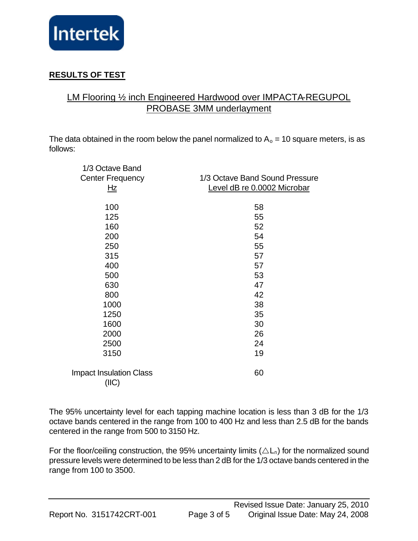

# **RESULTS OF TEST**

# LM Flooring ½ inch Engineered Hardwood over IMPACTA-REGUPOL PROBASE 3MM underlayment

The data obtained in the room below the panel normalized to  $A_0 = 10$  square meters, is as follows:

| 1/3 Octave Band                |                                |
|--------------------------------|--------------------------------|
| <b>Center Frequency</b>        | 1/3 Octave Band Sound Pressure |
| <u>Hz</u>                      | Level dB re 0.0002 Microbar    |
|                                |                                |
| 100                            | 58                             |
| 125                            | 55                             |
| 160                            | 52                             |
| 200                            | 54                             |
| 250                            | 55                             |
| 315                            | 57                             |
| 400                            | 57                             |
| 500                            | 53                             |
| 630                            | 47                             |
| 800                            | 42                             |
| 1000                           | 38                             |
| 1250                           | 35                             |
| 1600                           | 30                             |
| 2000                           | 26                             |
| 2500                           | 24                             |
| 3150                           | 19                             |
|                                |                                |
| <b>Impact Insulation Class</b> | 60                             |
| (IIIC)                         |                                |
|                                |                                |

The 95% uncertainty level for each tapping machine location is less than 3 dB for the 1/3 octave bands centered in the range from 100 to 400 Hz and less than 2.5 dB for the bands centered in the range from 500 to 3150 Hz.

For the floor/ceiling construction, the 95% uncertainty limits ( $\Delta L_n$ ) for the normalized sound pressure levels were determined to be less than 2 dB for the 1/3 octave bands centered in the range from 100 to 3500.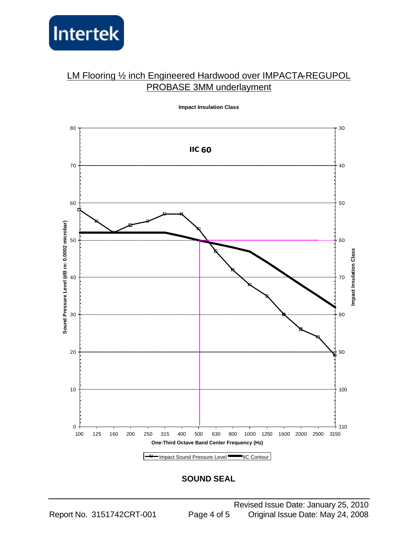

# LM Flooring 1/2 inch Engineered Hardwood over IMPACTA-REGUPOL PROBASE 3MM underlayment



**Impact Insulation Class**

#### **SOUND SEAL**